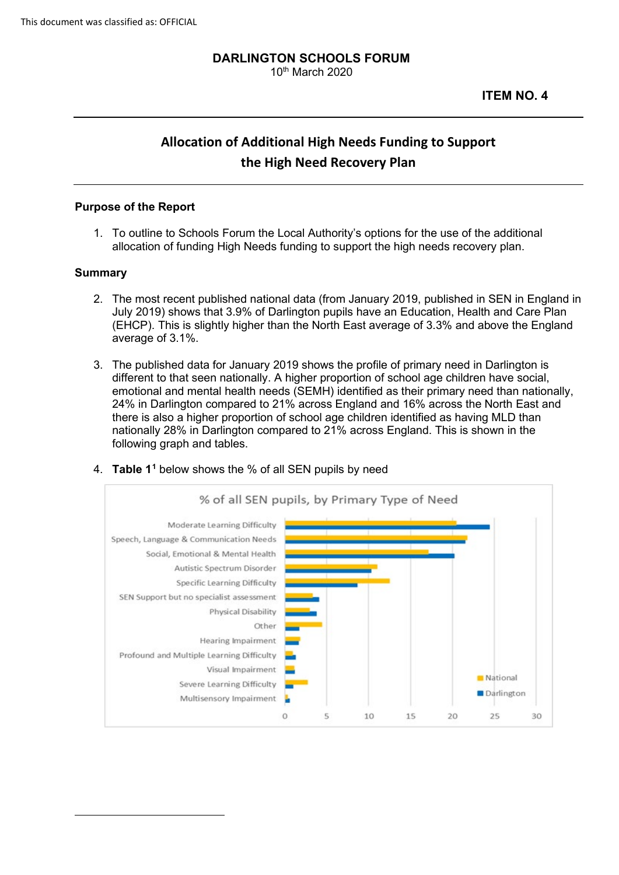#### **DARLINGTON SCHOOLS FORUM**  10th March 2020

# **Allocation of Additional High Needs Funding to Support the High Need Recovery Plan**

#### **Purpose of the Report**

1. To outline to Schools Forum the Local Authority's options for the use of the additional allocation of funding High Needs funding to support the high needs recovery plan.

#### **Summary**

- 2. The most recent published national data (from January 2019, published in SEN in England in July 2019) shows that 3.9% of Darlington pupils have an Education, Health and Care Plan (EHCP). This is slightly higher than the North East average of 3.3% and above the England average of 3.1%.
- 3. The published data for January 2019 shows the profile of primary need in Darlington is different to that seen nationally. A higher proportion of school age children have social, emotional and mental health needs (SEMH) identified as their primary need than nationally, 24% in Darlington compared to 21% across England and 16% across the North East and there is also a higher proportion of school age children identified as having MLD than nationally 28% in Darlington compared to 21% across England. This is shown in the following graph and tables.

<span id="page-0-0"></span>

4. **Table [11](#page-0-0)** below shows the % of all SEN pupils by need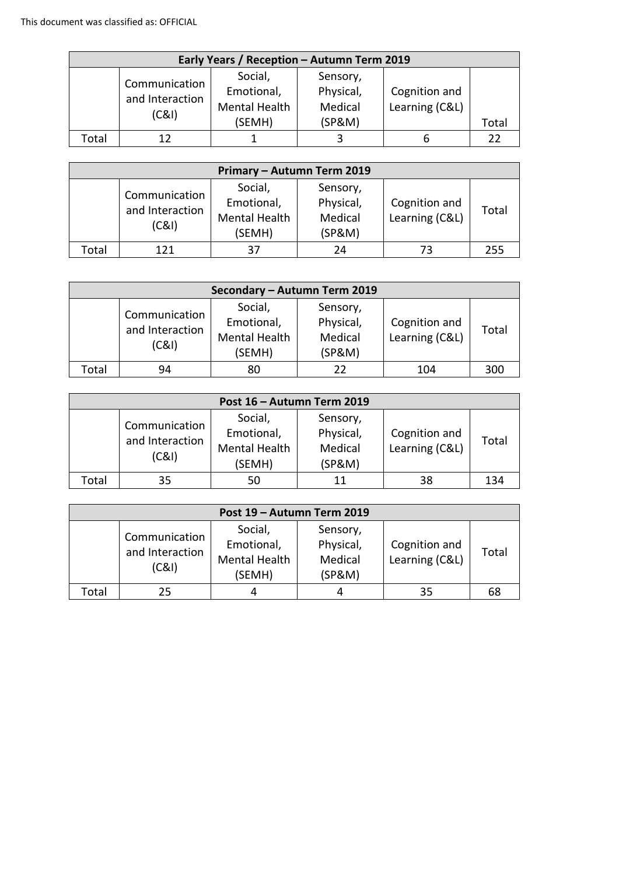| Early Years / Reception - Autumn Term 2019 |                                           |                                                         |                                            |                                 |       |  |
|--------------------------------------------|-------------------------------------------|---------------------------------------------------------|--------------------------------------------|---------------------------------|-------|--|
|                                            | Communication<br>and Interaction<br>(C&I) | Social,<br>Emotional,<br><b>Mental Health</b><br>(SEMH) | Sensory,<br>Physical,<br>Medical<br>(SP&M) | Cognition and<br>Learning (C&L) | Total |  |
| Total                                      | 12                                        |                                                         |                                            |                                 |       |  |

| Primary - Autumn Term 2019 |                                           |                                                  |                                            |                                 |       |  |
|----------------------------|-------------------------------------------|--------------------------------------------------|--------------------------------------------|---------------------------------|-------|--|
|                            | Communication<br>and Interaction<br>(C&1) | Social,<br>Emotional,<br>Mental Health<br>(SEMH) | Sensory,<br>Physical,<br>Medical<br>(SP&M) | Cognition and<br>Learning (C&L) | Total |  |
| Total                      | 121                                       | 37                                               | 24                                         | 73                              | 255   |  |

| Secondary - Autumn Term 2019 |                                           |                                                         |                                            |                                 |       |  |
|------------------------------|-------------------------------------------|---------------------------------------------------------|--------------------------------------------|---------------------------------|-------|--|
|                              | Communication<br>and Interaction<br>(C&I) | Social,<br>Emotional,<br><b>Mental Health</b><br>(SEMH) | Sensory,<br>Physical,<br>Medical<br>(SP&M) | Cognition and<br>Learning (C&L) | Total |  |
| Total                        | 94                                        | 80                                                      |                                            | 104                             | 300   |  |

| Post 16 - Autumn Term 2019 |                                           |                                                         |                                            |                                 |       |  |
|----------------------------|-------------------------------------------|---------------------------------------------------------|--------------------------------------------|---------------------------------|-------|--|
|                            | Communication<br>and Interaction<br>(C&I) | Social,<br>Emotional,<br><b>Mental Health</b><br>(SEMH) | Sensory,<br>Physical,<br>Medical<br>(SP&M) | Cognition and<br>Learning (C&L) | Total |  |
| Total                      | 35                                        | 50                                                      |                                            | 38                              | 134   |  |

| Post 19 - Autumn Term 2019 |                                           |                                                         |                                            |                                 |       |  |
|----------------------------|-------------------------------------------|---------------------------------------------------------|--------------------------------------------|---------------------------------|-------|--|
|                            | Communication<br>and Interaction<br>(C&I) | Social,<br>Emotional,<br><b>Mental Health</b><br>(SEMH) | Sensory,<br>Physical,<br>Medical<br>(SP&M) | Cognition and<br>Learning (C&L) | Total |  |
| <b>Total</b>               | 25                                        | 4                                                       |                                            | 35                              | 68    |  |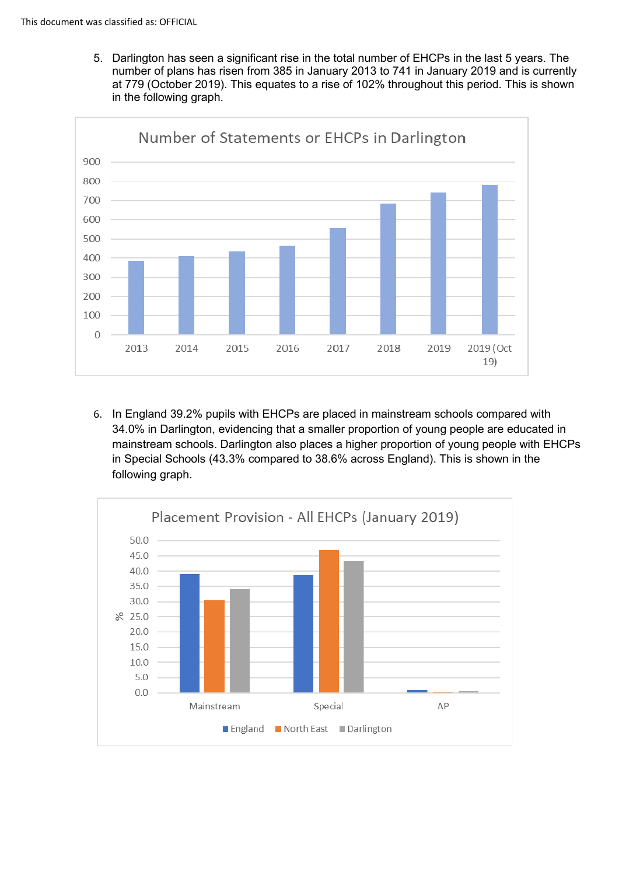5. Darlington has seen a significant rise in the total number of EHCPs in the last 5 years. The number of plans has risen from 385 in January 2013 to 741 in January 2019 and is currently at 779 (October 2019). This equates to a rise of 102% throughout this period. This is shown in the following graph.



6. In England 39.2% pupils with EHCPs are placed in mainstream schools compared with 34.0% in Darlington, evidencing that a smaller proportion of young people are educated in mainstream schools. Darlington also places a higher proportion of young people with EHCPs in Special Schools (43.3% compared to 38.6% across England). This is shown in the following graph.

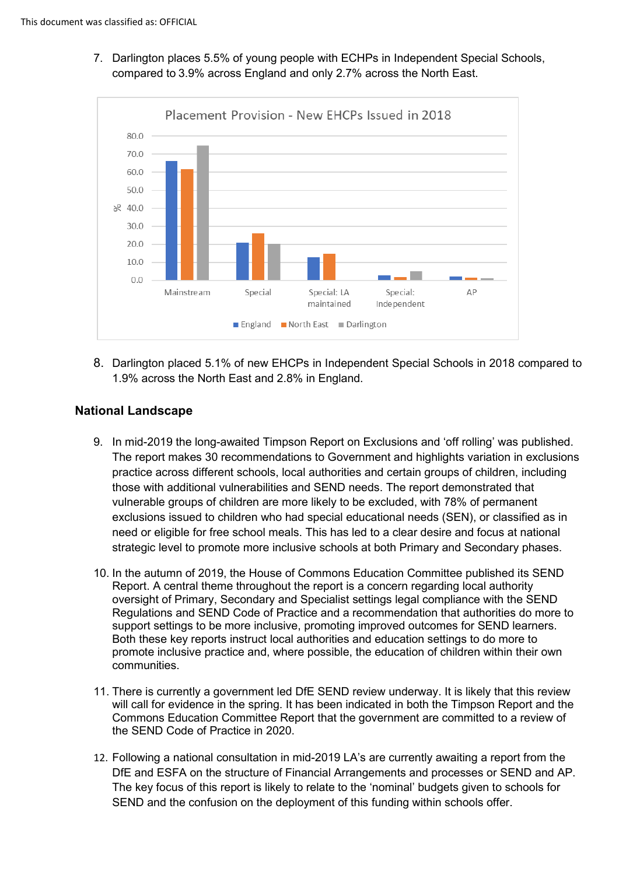7. Darlington places 5.5% of young people with ECHPs in Independent Special Schools, compared to 3.9% across England and only 2.7% across the North East.



8. Darlington placed 5.1% of new EHCPs in Independent Special Schools in 2018 compared to 1.9% across the North East and 2.8% in England.

## **National Landscape**

- 9. In mid-2019 the long-awaited Timpson Report on Exclusions and 'off rolling' was published. The report makes 30 recommendations to Government and highlights variation in exclusions practice across different schools, local authorities and certain groups of children, including those with additional vulnerabilities and SEND needs. The report demonstrated that vulnerable groups of children are more likely to be excluded, with 78% of permanent exclusions issued to children who had special educational needs (SEN), or classified as in need or eligible for free school meals. This has led to a clear desire and focus at national strategic level to promote more inclusive schools at both Primary and Secondary phases.
- 10. In the autumn of 2019, the House of Commons Education Committee published its SEND Report. A central theme throughout the report is a concern regarding local authority oversight of Primary, Secondary and Specialist settings legal compliance with the SEND Regulations and SEND Code of Practice and a recommendation that authorities do more to support settings to be more inclusive, promoting improved outcomes for SEND learners. Both these key reports instruct local authorities and education settings to do more to promote inclusive practice and, where possible, the education of children within their own communities.
- 11. There is currently a government led DfE SEND review underway. It is likely that this review will call for evidence in the spring. It has been indicated in both the Timpson Report and the Commons Education Committee Report that the government are committed to a review of the SEND Code of Practice in 2020.
- 12. Following a national consultation in mid-2019 LA's are currently awaiting a report from the DfE and ESFA on the structure of Financial Arrangements and processes or SEND and AP. The key focus of this report is likely to relate to the 'nominal' budgets given to schools for SEND and the confusion on the deployment of this funding within schools offer.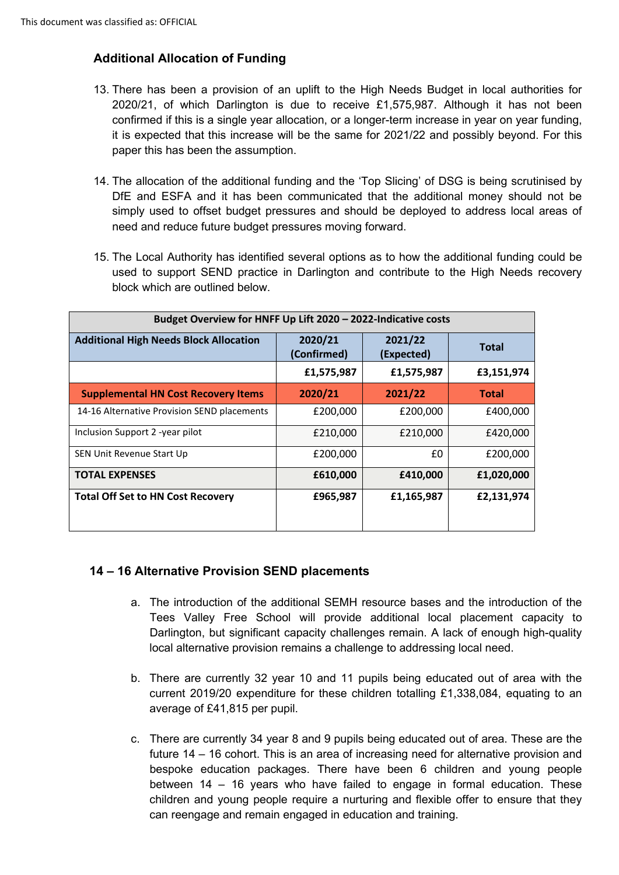# **Additional Allocation of Funding**

- 13. There has been a provision of an uplift to the High Needs Budget in local authorities for 2020/21, of which Darlington is due to receive £1,575,987. Although it has not been confirmed if this is a single year allocation, or a longer-term increase in year on year funding, it is expected that this increase will be the same for 2021/22 and possibly beyond. For this paper this has been the assumption.
- 14. The allocation of the additional funding and the 'Top Slicing' of DSG is being scrutinised by DfE and ESFA and it has been communicated that the additional money should not be simply used to offset budget pressures and should be deployed to address local areas of need and reduce future budget pressures moving forward.
- 15. The Local Authority has identified several options as to how the additional funding could be used to support SEND practice in Darlington and contribute to the High Needs recovery block which are outlined below.

| Budget Overview for HNFF Up Lift 2020 - 2022-Indicative costs |                        |                       |              |  |  |
|---------------------------------------------------------------|------------------------|-----------------------|--------------|--|--|
| <b>Additional High Needs Block Allocation</b>                 | 2020/21<br>(Confirmed) | 2021/22<br>(Expected) | <b>Total</b> |  |  |
|                                                               | £1,575,987             | £1,575,987            | £3,151,974   |  |  |
| <b>Supplemental HN Cost Recovery Items</b>                    | 2020/21                | 2021/22               | <b>Total</b> |  |  |
| 14-16 Alternative Provision SEND placements                   | £200,000               | £200,000              | £400,000     |  |  |
| Inclusion Support 2 -year pilot                               | £210,000               | £210,000              | £420,000     |  |  |
| SEN Unit Revenue Start Up                                     | £200,000               | £0                    | £200,000     |  |  |
| <b>TOTAL EXPENSES</b>                                         | £610,000               | £410,000              | £1,020,000   |  |  |
| <b>Total Off Set to HN Cost Recovery</b>                      | £965,987               | £1,165,987            | £2,131,974   |  |  |
|                                                               |                        |                       |              |  |  |

## **14 – 16 Alternative Provision SEND placements**

- a. The introduction of the additional SEMH resource bases and the introduction of the Tees Valley Free School will provide additional local placement capacity to Darlington, but significant capacity challenges remain. A lack of enough high-quality local alternative provision remains a challenge to addressing local need.
- b. There are currently 32 year 10 and 11 pupils being educated out of area with the current 2019/20 expenditure for these children totalling £1,338,084, equating to an average of £41,815 per pupil.
- c. There are currently 34 year 8 and 9 pupils being educated out of area. These are the future 14 – 16 cohort. This is an area of increasing need for alternative provision and bespoke education packages. There have been 6 children and young people between 14 – 16 years who have failed to engage in formal education. These children and young people require a nurturing and flexible offer to ensure that they can reengage and remain engaged in education and training.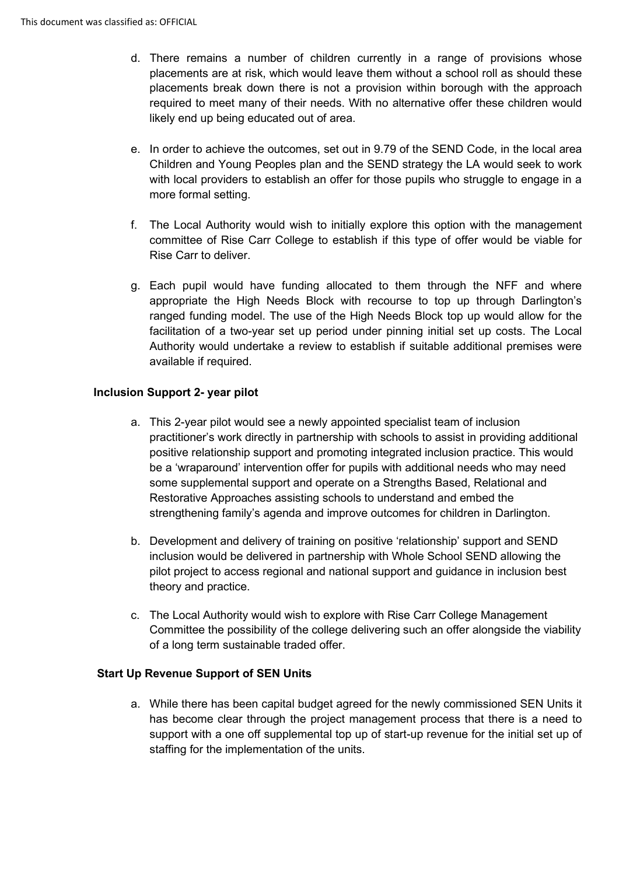- d. There remains a number of children currently in a range of provisions whose placements are at risk, which would leave them without a school roll as should these placements break down there is not a provision within borough with the approach required to meet many of their needs. With no alternative offer these children would likely end up being educated out of area.
- e. In order to achieve the outcomes, set out in 9.79 of the SEND Code, in the local area Children and Young Peoples plan and the SEND strategy the LA would seek to work with local providers to establish an offer for those pupils who struggle to engage in a more formal setting.
- f. The Local Authority would wish to initially explore this option with the management committee of Rise Carr College to establish if this type of offer would be viable for Rise Carr to deliver.
- g. Each pupil would have funding allocated to them through the NFF and where appropriate the High Needs Block with recourse to top up through Darlington's ranged funding model. The use of the High Needs Block top up would allow for the facilitation of a two-year set up period under pinning initial set up costs. The Local Authority would undertake a review to establish if suitable additional premises were available if required.

## **Inclusion Support 2- year pilot**

- a. This 2-year pilot would see a newly appointed specialist team of inclusion practitioner's work directly in partnership with schools to assist in providing additional positive relationship support and promoting integrated inclusion practice. This would be a 'wraparound' intervention offer for pupils with additional needs who may need some supplemental support and operate on a Strengths Based, Relational and Restorative Approaches assisting schools to understand and embed the strengthening family's agenda and improve outcomes for children in Darlington.
- b. Development and delivery of training on positive 'relationship' support and SEND inclusion would be delivered in partnership with Whole School SEND allowing the pilot project to access regional and national support and guidance in inclusion best theory and practice.
- c. The Local Authority would wish to explore with Rise Carr College Management Committee the possibility of the college delivering such an offer alongside the viability of a long term sustainable traded offer.

## **Start Up Revenue Support of SEN Units**

a. While there has been capital budget agreed for the newly commissioned SEN Units it has become clear through the project management process that there is a need to support with a one off supplemental top up of start-up revenue for the initial set up of staffing for the implementation of the units.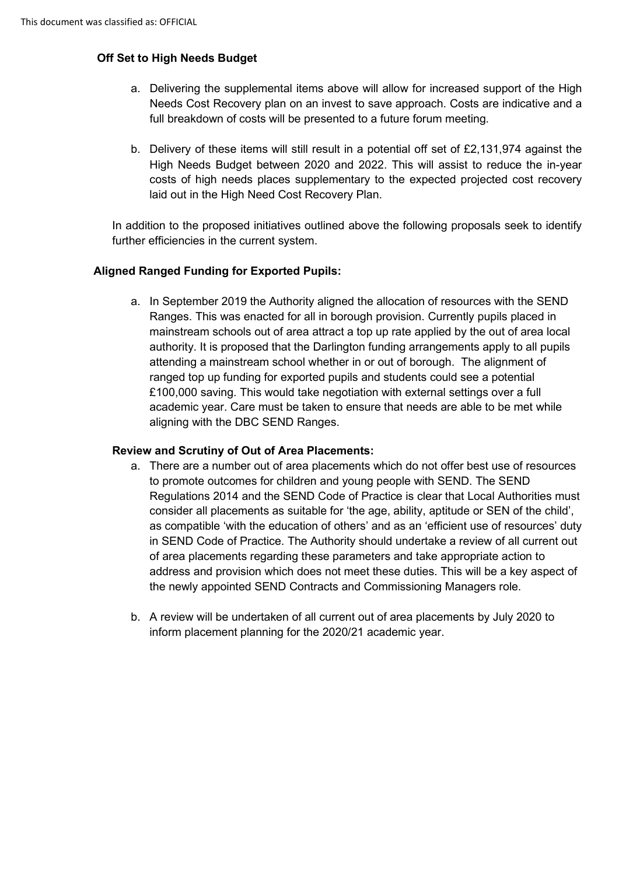# **Off Set to High Needs Budget**

- a. Delivering the supplemental items above will allow for increased support of the High Needs Cost Recovery plan on an invest to save approach. Costs are indicative and a full breakdown of costs will be presented to a future forum meeting.
- b. Delivery of these items will still result in a potential off set of £2,131,974 against the High Needs Budget between 2020 and 2022. This will assist to reduce the in-year costs of high needs places supplementary to the expected projected cost recovery laid out in the High Need Cost Recovery Plan.

In addition to the proposed initiatives outlined above the following proposals seek to identify further efficiencies in the current system.

## **Aligned Ranged Funding for Exported Pupils:**

a. In September 2019 the Authority aligned the allocation of resources with the SEND Ranges. This was enacted for all in borough provision. Currently pupils placed in mainstream schools out of area attract a top up rate applied by the out of area local authority. It is proposed that the Darlington funding arrangements apply to all pupils attending a mainstream school whether in or out of borough. The alignment of ranged top up funding for exported pupils and students could see a potential £100,000 saving. This would take negotiation with external settings over a full academic year. Care must be taken to ensure that needs are able to be met while aligning with the DBC SEND Ranges.

#### **Review and Scrutiny of Out of Area Placements:**

- a. There are a number out of area placements which do not offer best use of resources to promote outcomes for children and young people with SEND. The SEND Regulations 2014 and the SEND Code of Practice is clear that Local Authorities must consider all placements as suitable for 'the age, ability, aptitude or SEN of the child', as compatible 'with the education of others' and as an 'efficient use of resources' duty in SEND Code of Practice. The Authority should undertake a review of all current out of area placements regarding these parameters and take appropriate action to address and provision which does not meet these duties. This will be a key aspect of the newly appointed SEND Contracts and Commissioning Managers role.
- b. A review will be undertaken of all current out of area placements by July 2020 to inform placement planning for the 2020/21 academic year.